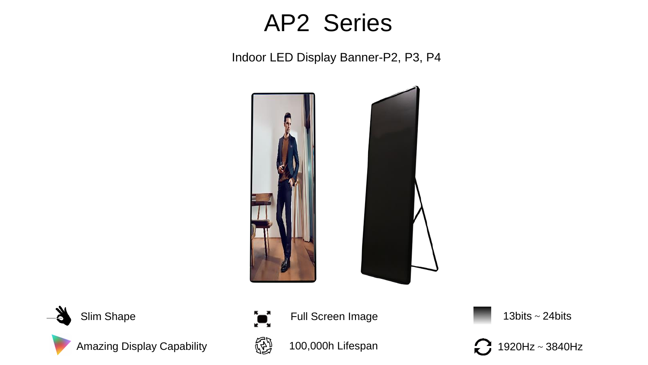# AP2 Series

Indoor LED Display Banner-P2, P3, P4





Amazing Display Capability



100,000h Lifespan

Slim Shape **13bits** ~ 24bits **13bits** ~ 24bits

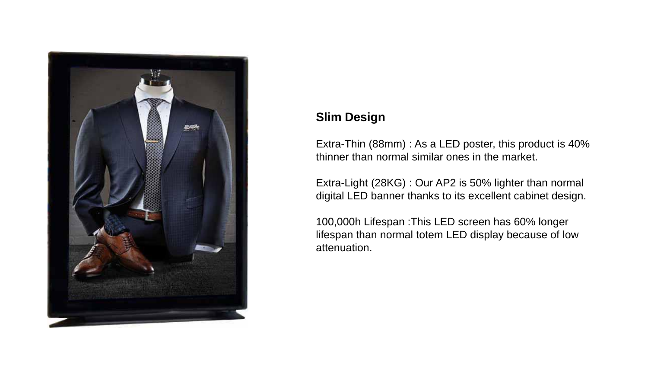

# **Slim Design**

Extra-Thin (88mm) : As a LED poster, this product is 40% thinner than normal similar ones in the market.

Extra-Light (28KG) : Our AP2 is 50% lighter than normal digital LED banner thanks to its excellent cabinet design.

100,000h Lifespan :This LED screen has 60% longer lifespan than normal totem LED display because of low attenuation.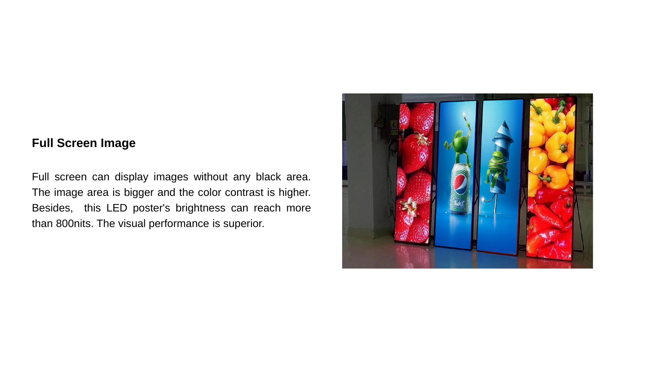#### **Full Screen Image**

Full screen can display images without any black area. The image area is bigger and the color contrast is higher. Besides, this LED poster's brightness can reach more than 800nits. The visual performance is superior.

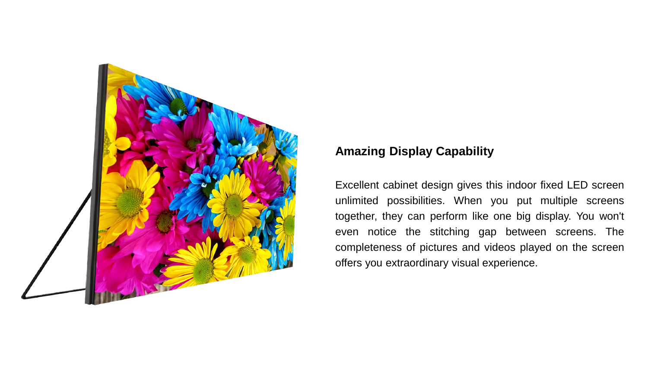

### **Amazing Display Capability**

Excellent cabinet design gives this indoor fixed LED screen unlimited possibilities. When you put multiple screens together, they can perform like one big display. You won't even notice the stitching gap between screens. The completeness of pictures and videos played on the screen offers you extraordinary visual experience.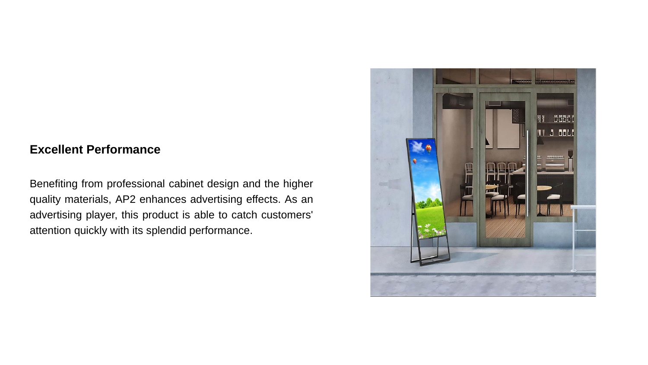#### **Excellent Performance**

Benefiting from professional cabinet design and the higher quality materials, AP2 enhances advertising effects. As an advertising player, this product is able to catch customers' attention quickly with its splendid performance.

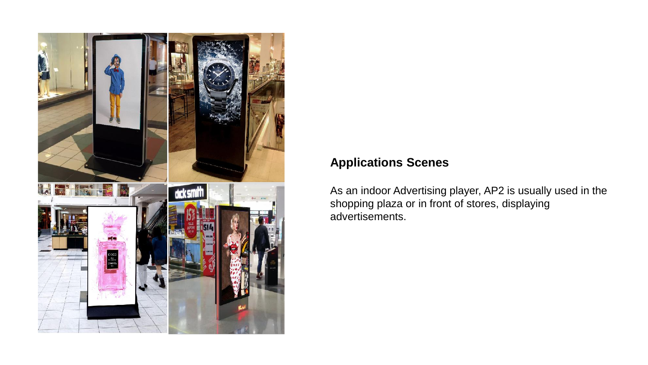

## **Applications Scenes**

As an indoor Advertising player, AP2 is usually used in the shopping plaza or in front of stores, displaying advertisements.